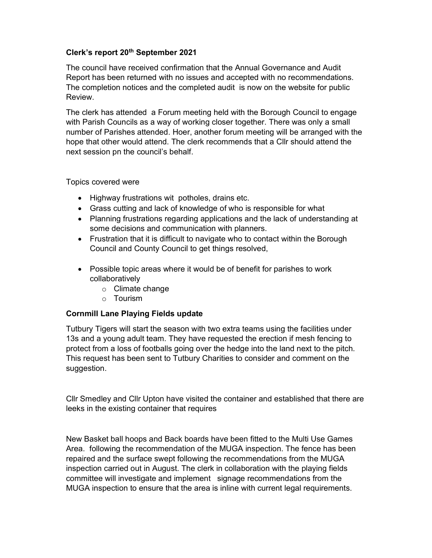## Clerk's report 20<sup>th</sup> September 2021

The council have received confirmation that the Annual Governance and Audit Report has been returned with no issues and accepted with no recommendations. The completion notices and the completed audit is now on the website for public Review.

The clerk has attended a Forum meeting held with the Borough Council to engage with Parish Councils as a way of working closer together. There was only a small number of Parishes attended. Hoer, another forum meeting will be arranged with the hope that other would attend. The clerk recommends that a Cllr should attend the next session pn the council's behalf.

## Topics covered were

- Highway frustrations wit potholes, drains etc.
- Grass cutting and lack of knowledge of who is responsible for what
- Planning frustrations regarding applications and the lack of understanding at some decisions and communication with planners.
- Frustration that it is difficult to navigate who to contact within the Borough Council and County Council to get things resolved,
- Possible topic areas where it would be of benefit for parishes to work collaboratively
	- o Climate change
	- o Tourism

## Cornmill Lane Playing Fields update

Tutbury Tigers will start the season with two extra teams using the facilities under 13s and a young adult team. They have requested the erection if mesh fencing to protect from a loss of footballs going over the hedge into the land next to the pitch. This request has been sent to Tutbury Charities to consider and comment on the suggestion.

Cllr Smedley and Cllr Upton have visited the container and established that there are leeks in the existing container that requires

New Basket ball hoops and Back boards have been fitted to the Multi Use Games Area. following the recommendation of the MUGA inspection. The fence has been repaired and the surface swept following the recommendations from the MUGA inspection carried out in August. The clerk in collaboration with the playing fields committee will investigate and implement signage recommendations from the MUGA inspection to ensure that the area is inline with current legal requirements.